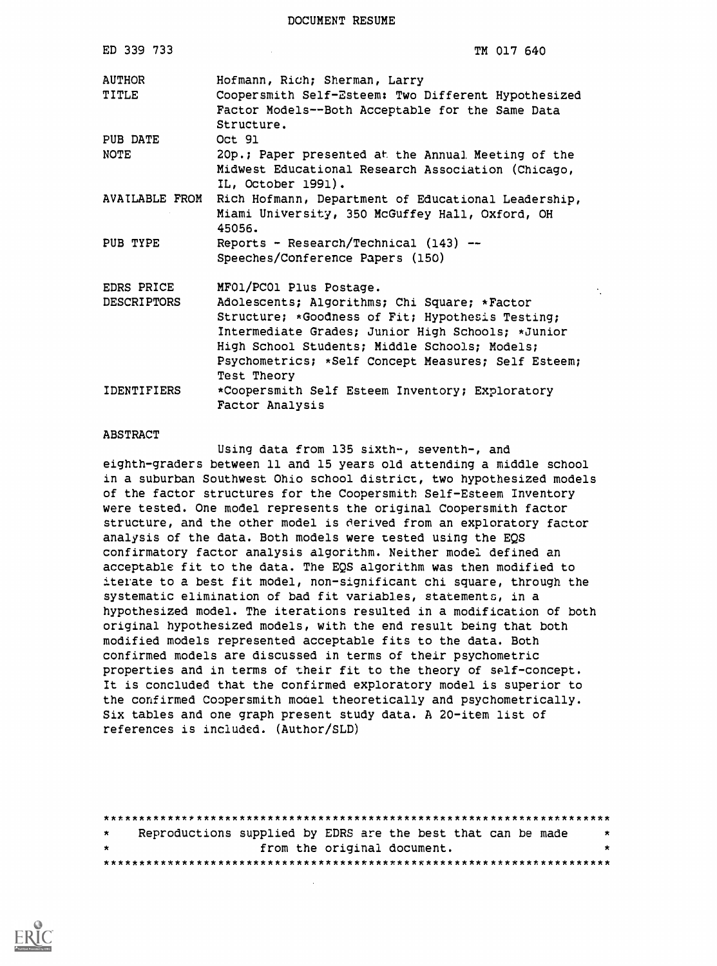| ED 339 733                       | TM 017 640                                                                                                                                                                                                                                                                                              |
|----------------------------------|---------------------------------------------------------------------------------------------------------------------------------------------------------------------------------------------------------------------------------------------------------------------------------------------------------|
| <b>AUTHOR</b><br>TITLE           | Hofmann, Rich; Sherman, Larry<br>Coopersmith Self-Esteem: Two Different Hypothesized<br>Factor Models--Both Acceptable for the Same Data<br>Structure.                                                                                                                                                  |
| PUB DATE<br><b>NOTE</b>          | Oct 91<br>20p.; Paper presented at the Annual Meeting of the<br>Midwest Educational Research Association (Chicago,<br>IL, October 1991).                                                                                                                                                                |
| AVAILABLE FROM                   | Rich Hofmann, Department of Educational Leadership,<br>Miami University, 350 McGuffey Hall, Oxford, OH<br>45056.                                                                                                                                                                                        |
| PUB TYPE                         | Reports - Research/Technical $(143)$ --<br>Speeches/Conference Papers (150)                                                                                                                                                                                                                             |
| EDRS PRICE<br><b>DESCRIPTORS</b> | MF01/PC01 Plus Postage.<br>Adolescents; Algorithms; Chi Square; *Factor<br>Structure; *Goodness of Fit; Hypothesis Testing;<br>Intermediate Grades; Junior High Schools; *Junior<br>High School Students; Middle Schools; Models;<br>Psychometrics; *Self Concept Measures; Self Esteem;<br>Test Theory |
| IDENTIFIERS                      | *Coopersmith Self Esteem Inventory; Exploratory<br>Factor Analysis                                                                                                                                                                                                                                      |

#### ABSTRACT

Using data from 135 sixth-, seventh-, and eighth-graders between 11 and 15 years old attending a middle school in a suburban Southwest Ohio school district, two hypothesized models of the factor structures for the Coopersmith Self-Esteem Inventory were tested. One model represents the original Coopersmith factor structure, and the other model is derived from an exploratory factor analysis of the data. Both models were tested using the EQS confirmatory factor analysis algorithm. Neither model defined an acceptable fit to the data. The EQS algorithm was then modified to iterate to a best fit model, non-significant chi square, through the systematic elimination of bad fit variables, statements, in a hypothesized model. The iterations resulted in a modification of both original hypothesized models, with the end result being that both modified models represented acceptable fits to the data. Both confirmed models are discussed in terms of their psychometric properties and in terms of their fit to the theory of self-concept. It is concluded that the confirmed exploratory model is superior to the confirmed Coopersmith model theoretically and psychometrically. Six tables and one graph present study data. A 20-item list of references is included. (Author/SLD)

\*\*\*\*\*\*\*\*\*\*\*\*\*\*\*\*\*\*X\*\*\*\*\*\*\*\*\*\*\*\*\*\*\*\*\*\*\*\*\*\*\*\*\*\*\*\*\*\*\*\*\*\*\*\*\*\*\*\*\*\*\*\*\*\*\*\*\*\*\*\* Reproductions supplied by EDRS are the best that can be made  $\star$  . The set of  $\star$ from the original document. \*\*\*\*\*\*\*\*\*\*\*\*\*\*\*\*\*\*\*\*\*\*\*\*\*\*\*\*\*\*\*\*\*\*\*\*\*\*\*\*,:\*\*\*\*\*\*\*\*\*\*\*\*\*\*\*\*\*\*\*\*\*\*\*\*\*\*\*\*\*\*

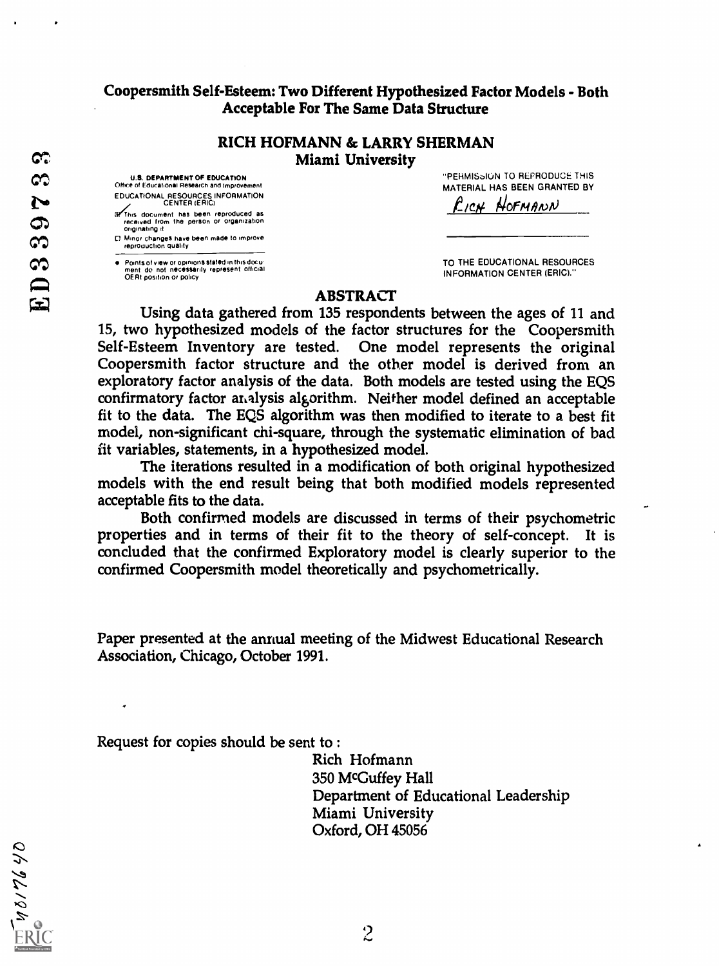#### Coopersmith Self-Esteem: Two Different Hypothesized Factor Models - Both Acceptable For The Same Data Structure

#### RICH HOFMANN & LARRY SHERMAN Miami University

U.S. DEPARTMENT OF EDUCATION<br>Office of Educational Research and Improvement

EDUCATIONAL RESOURCES INFORMATION CENTER (ERIC) If This document has been reproduced as

received from the person or organization originating it CI Minor changes have been made to improve reproduction quality

Points of view or opinions slated in this docu not necessarily represent official OERI position or policy

"PERMISoIUN TO REPRODUCE THIS MATERIAL HAS BEEN GRANTED BY

**EICH HOFMANN** 

TO THE EDUCATIONAL RESOURCES INFORMATION CENTER (ERIC)."

#### ABSTRACT

Using data gathered from 135 respondents between the ages of 11 and 15, two hypothesized models of the factor structures for the Coopersmith Self-Esteem Inventory are tested. One model represents the original Coopersmith factor structure and the other model is derived from an exploratory factor analysis of the data. Both models are tested using the EQS confirmatory factor analysis algorithm. Neither model defined an acceptable fit to the data. The EQS algorithm was then modified to iterate to a best fit model, non-significant chi-square, through the systematic elimination of bad fit variables, statements, in a hypothesized model.

The iterations resulted in a modification of both original hypothesized models with the end result being that both modified models represented acceptable fits to the data.

Both confirmed models are discussed in terms of their psychometric properties and in terms of their fit to the theory of self-concept. It is concluded that the confirmed Exploratory model is clearly superior to the confirmed Coopersmith model theoretically and psychometrically.

Paper presented at the annual meeting of the Midwest Educational Research Association, Chicago, October 1991.

Request for copies should be sent to :

Rich Hofmann 350 MCGuffey Hall Department of Educational Leadership Miami University Oxford, OH 45056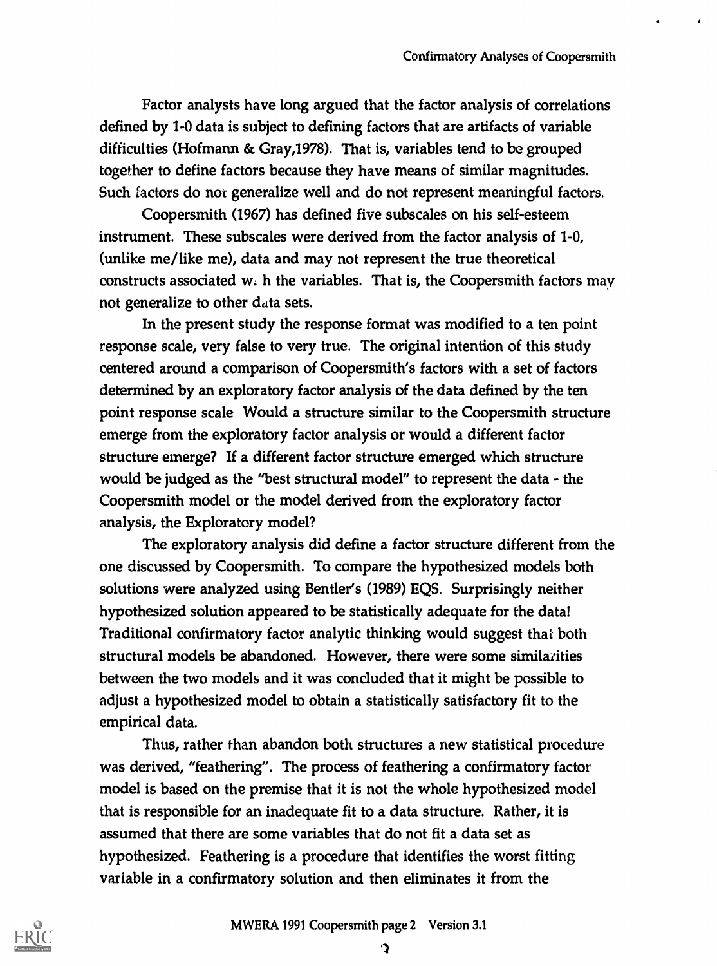Factor analysts have long argued that the factor analysis of correlations defined by 1-0 data is subject to defining factors that are artifacts of variable difficulties (Hofmann & Gray,1978). That is, variables tend to be grouped together to define factors because they have means of similar magnitudes. Such factors do not generalize well and do not represent meaningful factors.

Coopersmith (1967) has defined five subscales on his self-esteem instrument. These subscales were derived from the factor analysis of 1-0, (unlike me/like me), data and may not represent the true theoretical constructs associated wi h the variables. That is, the Coopersmith factors may not generalize to other data sets.

In the present study the response format was modified to a ten point response scale, very false to very true. The original intention of this study centered around a comparison of Coopersmith's factors with a set of factors determined by an exploratory factor analysis of the data defined by the ten point response scale Would a structure similar to the Coopersmith structure emerge from the exploratory factor analysis or would a different factor structure emerge? If a different factor structure emerged which structure would be judged as the "best structural model" to represent the data - the Coopersmith model or the model derived from the exploratory factor analysis, the Exploratory model?

The exploratory analysis did define a factor structure different from the one discussed by Coopersmith. To compare the hypothesized models both solutions were analyzed using Bentler's (1989) EQS. Surprisingly neither hypothesized solution appeared to be statistically adequate for the data! Traditional confirmatory factor analytic thinking would suggest that both structural models be abandoned. However, there were some similarities between the two models and it was concluded that it might be possible to adjust a hypothesized model to obtain a statistically satisfactory fit to the empirical data.

Thus, rather than abandon both structures a new statistical procedure was derived, "feathering". The process of feathering a confirmatory factor model is based on the premise that it is not the whole hypothesized model that is responsible for an inadequate fit to a data structure. Rather, it is assumed that there are some variables that do not fit a data set as hypothesized. Feathering is a procedure that identifies the worst fitting variable in a confirmatory solution and then eliminates it from the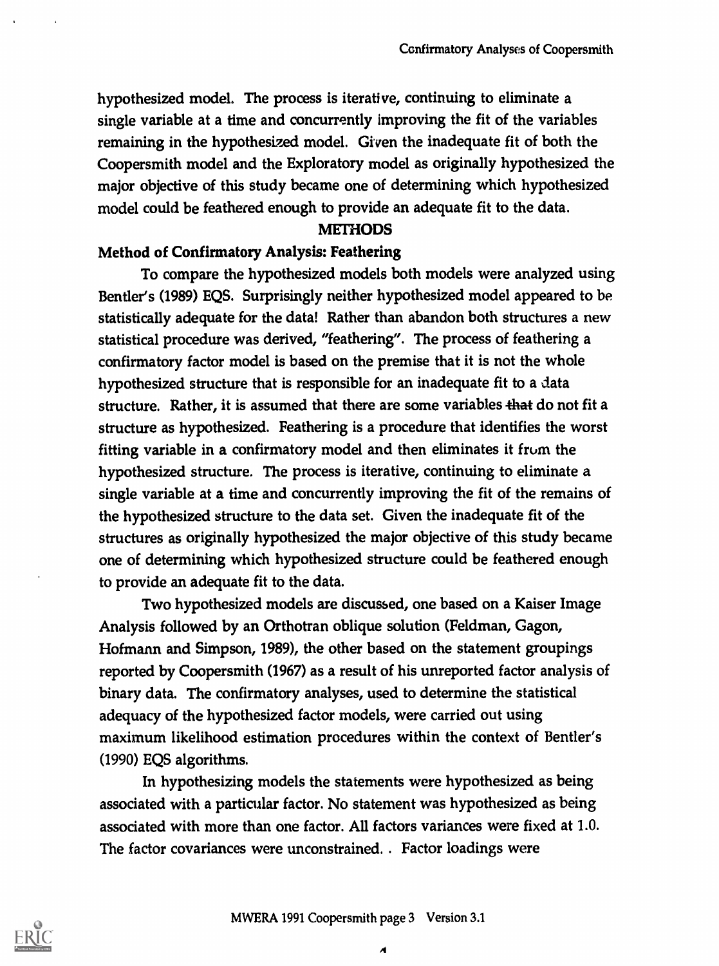hypothesized model. The process is iterati ve, continuing to eliminate a single variable at a time and concurrently improving the fit of the variables remaining in the hypothesized model. Given the inadequate fit of both the Coopersmith model and the Exploratory model as originally hypothesized the major objective of this study became one of determining which hypothesized model could be feathered enough to provide an adequate fit to the data.

#### **METHODS**

#### Method of Confirmatory Analysis: Feathering

To compare the hypothesized models both models were analyzed using Bentler's (1989) EQS. Surprisingly neither hypothesized model appeared to be statistically adequate for the data! Rather than abandon both structures a new statistical procedure was derived, "feathering". The process of feathering a confirmatory factor model is based on the premise that it is not the whole hypothesized structure that is responsible for an inadequate fit to a data structure. Rather, it is assumed that there are some variables that do not fit a structure as hypothesized. Feathering is a procedure that identifies the worst fitting variable in a confirmatory model and then eliminates it from the hypothesized structure. The process is iterative, continuing to eliminate a single variable at a time and concurrently improving the fit of the remains of the hypothesized structure to the data set. Given the inadequate fit of the structures as originally hypothesized the major objective of this study became one of determining which hypothesized structure could be feathered enough to provide an adequate fit to the data.

Two hypothesized models are discussed, one based on a Kaiser Image Analysis followed by an Orthotran oblique solution (Feldman, Gagon, Hofmann and Simpson, 1989), the other based on the statement groupings reported by Coopersmith (1967) as a result of his unreported factor analysis of binary data. The confirmatory analyses, used to determine the statistical adequacy of the hypothesized factor models, were carried out using maximum likelihood estimation procedures within the context of Bentler's (1990) EQS algorithms.

In hypothesizing models the statements were hypothesized as being associated with a particular factor. No statement was hypothesized as being associated with more than one factor. All factors variances were fixed at 1.0. The factor covariances were unconstrained. . Factor loadings were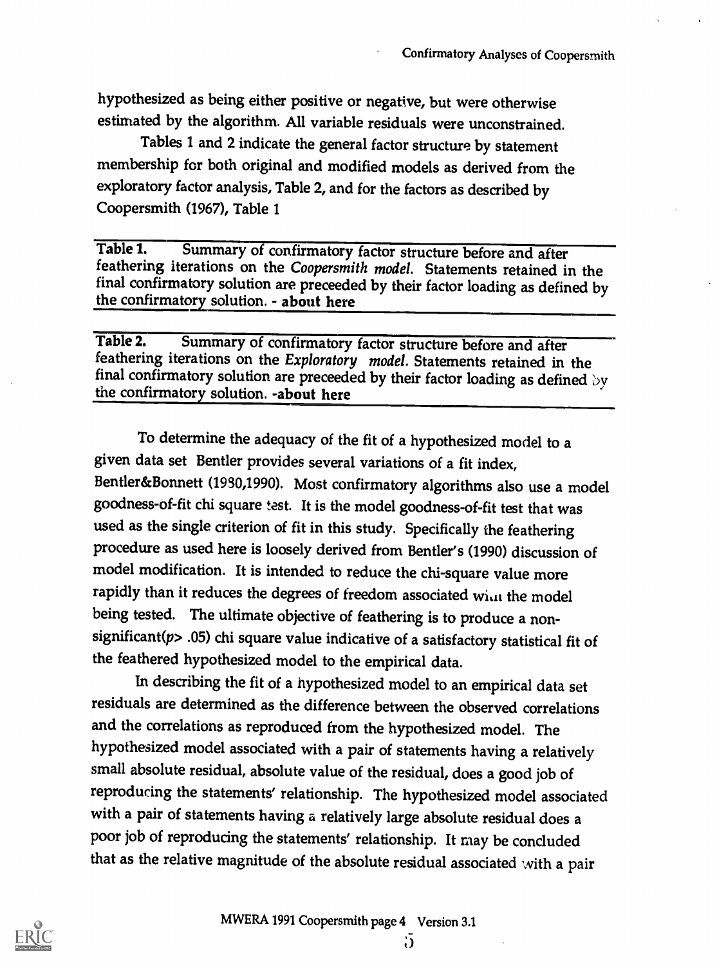hypothesized as being either positive or negative, but were otherwise estimated by the algorithm. All variable residuals were unconstrained.

Tables 1 and 2 indicate the general factor structure by statement membership for both original and modified models as derived from the exploratory factor analysis, Table 2, and for the factors as described by Coopersmith (1967), Table 1

Table 1. Summary of confirmatory factor structure before and after feathering iterations on the Coopersmith model. Statements retained in the final confirmatory solution are preceeded by their factor loading as defined by the confirmatory solution. - about here

Table 2. Summary of confirmatory factor structure before and after feathering iterations on the Exploratory model. Statements retained in the final confirmatory solution are preceeded by their factor loading as defined by the confirmatory solution. -about here

To determine the adequacy of the fit of a hypothesized model to a given data set Bentler provides several variations of a fit index, Bentler&Bonnett (1930,1990). Most confirmatory algorithms also use a model goodness-of-fit chi square test. It is the model goodness-of-fit test that was used as the single criterion of fit in this study. Specifically the feathering procedure as used here is loosely derived from Bentler's (1990) discussion of model modification. It is intended to reduce the chi-square value more rapidly than it reduces the degrees of freedom associated wint the model being tested. The ultimate objective of feathering is to produce a nonsignificant( $p$ > .05) chi square value indicative of a satisfactory statistical fit of the feathered hypothesized model to the empirical data.

In describing the fit of a hypothesized model to an empirical data set residuals are determined as the difference between the observed correlations and the correlations as reproduced from the hypothesized model. The hypothesized model associated with a pair of statements having a relatively small absolute residual, absolute value of the residual, does a good job of reproducing the statements' relationship. The hypothesized model associated with a pair of statements having a relatively large absolute residual does a poor job of reproducing the statements' relationship. It may be concluded that as the relative magnitude of the absolute residual associated with a pair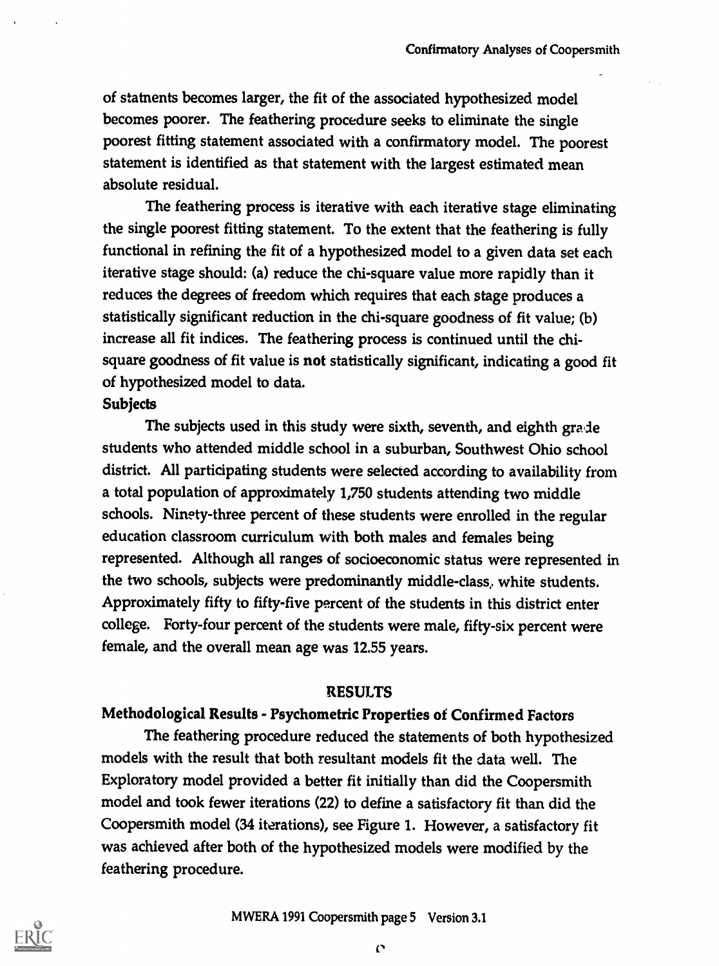of statnents becomes larger, the fit of the associated hypothesized model becomes poorer. The feathering procedure seeks to eliminate the single poorest fitting statement associated with a confirmatory model. The poorest statement is identified as that statement with the largest estimated mean absolute residual.

The feathering process is iterative with each iterative stage eliminating the single poorest fitting statement. To the extent that the feathering is fully functional in refining the fit of a hypothesized model to a given data set each iterative stage should: (a) reduce the chi-square value more rapidly than it reduces the degrees of freedom which requires that each stage produces a statistically significant reduction in the chi-square goodness of fit value; (b) increase all fit indices. The feathering process is continued until the chisquare goodness of fit value is not statistically significant, indicating a good fit of hypothesized model to data.

#### **Subjects**

The subjects used in this study were sixth, seventh, and eighth grade students who attended middle school in a suburban, Southwest Ohio school district. All participating students were selected according to availability from a total population of approximately 1,750 students attending two middle schools. Ninety-three percent of these students were enrolled in the regular education classroom curriculum with both males and females being represented. Although all ranges of socioeconomic status were represented in the two schools, subjects were predominantly middle-class, white students. Approximately fifty to fifty-five percent of the students in this district enter college. Forty-four percent of the students were male, fifty-six percent were female, and the overall mean age was 12.55 years.

#### RESULTS

# Methodological Results - Psychometric Properties of Confirmed Factors

The feathering procedure reduced the statements of both hypothesized models with the result that both resultant models fit the data well. The Exploratory model provided a better fit initially than did the Coopersmith model and took fewer iterations (22) to define a satisfactory fit than did the Coopersmith model (34 iterations), see Figure 1. However, a satisfactory fit was achieved after both of the hypothesized models were modified by the feathering procedure.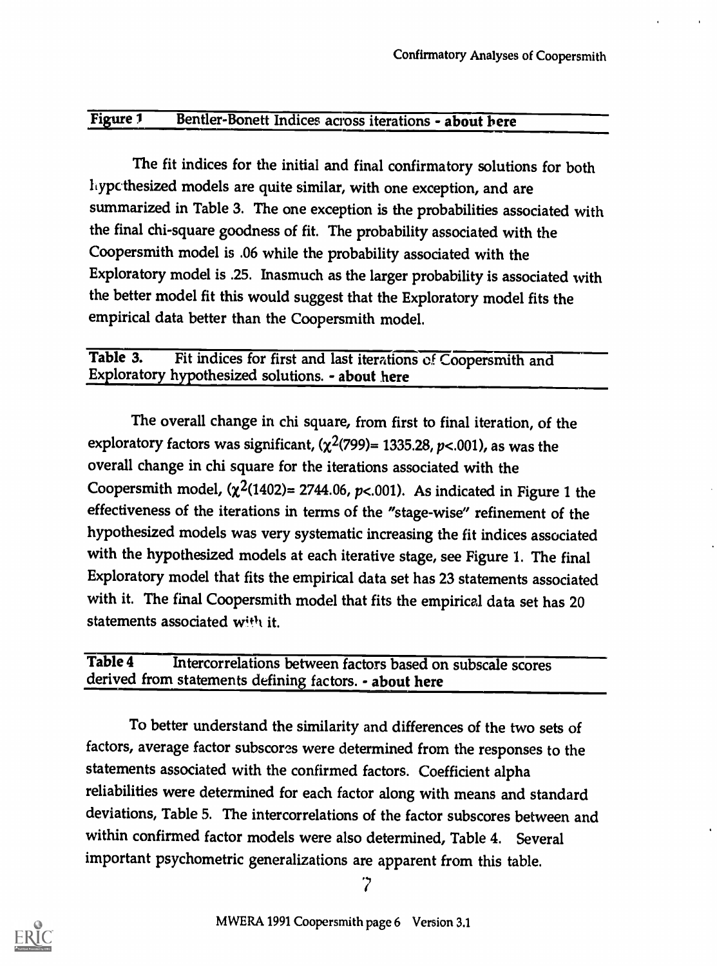#### Figure 1 Bentler-Bonett Indices across iterations - about here

The fit indices for the initial and final confirmatory solutions for both hypcthesized models are quite similar, with one exception, and are summarized in Table 3. The one exception is the probabilities associated with the final chi-square goodness of fit. The probability associated with the Coopersmith model is .06 while the probability associated with the Exploratory model is .25. Inasmuch as the larger probability is associated with the better model fit this would suggest that the Exploratory model fits the empirical data better than the Coopersmith model.

### Table 3. Fit indices for first and last iterations of Coopersmith and Exploratory hypothesized solutions. - about here

The overall change in chi square, from first to final iteration, of the exploratory factors was significant,  $(\chi^2(799)= 1335.28, p<.001)$ , as was the overall change in chi square for the iterations associated with the Coopersmith model,  $(\chi^2(1402) = 2744.06, p < .001)$ . As indicated in Figure 1 the effectiveness of the iterations in terms of the "stage-wise" refinement of the hypothesized models was very systematic increasing the fit indices associated with the hypothesized models at each iterative stage, see Figure 1. The final Exploratory model that fits the empirical data set has 23 statements associated with it. The final Coopersmith model that fits the empirical data set has 20 statements associated with it.

Table 4 Intercorrelations between factors based on subscale scores derived from statements defining factors. - about here

To better understand the similarity and differences of the two sets of factors, average factor subscores were determined from the responses to the statements associated with the confirmed factors. Coefficient alpha reliabilities were determined for each factor along with means and standard deviations, Table 5. The intercorrelations of the factor subscores between and within confirmed factor models were also determined, Table 4. Several important psychometric generalizations are apparent from this table.



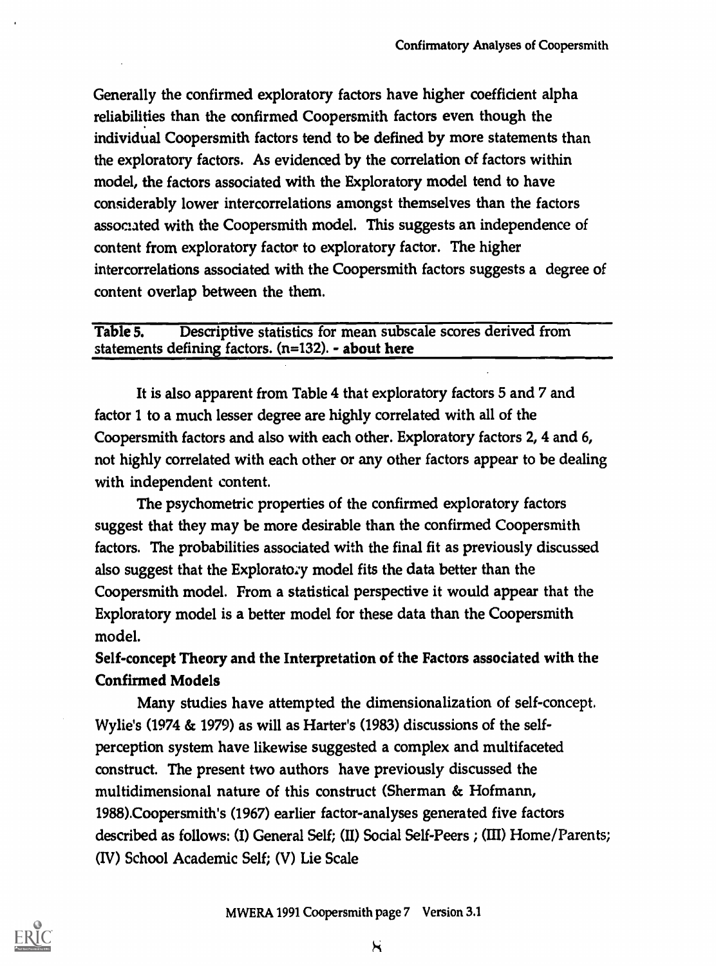Generally the confirmed exploratory factors have higher coefficient alpha reliabilities than the confirmed Coopersmith factors even though the individual Coopersmith factors tend to be defined by more statements than the exploratory factors. As evidenced by the correlation of factors within model, the factors associated with the Exploratory model tend to have considerably lower intercorrelations amongst themselves than the factors associated with the Coopersmith model. This suggests an independence of content from exploratory factor to exploratory factor. The higher intercorrelations associated with the Coopersmith factors suggests a degree of content overlap between the them.

#### Table 5. Descriptive statistics for mean subscale scores derived from statements defining factors.  $(n=132)$ . - about here

It is also apparent from Table 4 that exploratory factors 5 and 7 and factor 1 to a much lesser degree are highly correlated with all of the Coopersmith factors and also with each other. Exploratory factors 2, 4 and 6, not highly correlated with each other or any other factors appear to be dealing with independent content.

The psychometric properties of the confirmed exploratory factors suggest that they may be more desirable than the confirmed Coopersmith factors. The probabilities associated with the final fit as previously discussed also suggest that the Explorato:y model fits the data better than the Coopersmith model. From a statistical perspective it would appear that the Exploratory model is a better model for these data than the Coopersmith model.

# Self-concept Theory and the Interpretation of the Factors associated with the Confirmed Models

Many studies have attempted the dimensionalization of self-concept. Wylie's (1974 & 1979) as will as Harter's (1983) discussions of the selfperception system have likewise suggested a complex and multifaceted construct. The present two authors have previously discussed the multidimensional nature of this construct (Sherman & Hofmann, 1988).Coopersmith's (1967) earlier factor-analyses generated five factors described as follows: (I) General Self; (II) Social Self-Peers ; (III) Home/Parents; (IV) School Academic Self; (V) Lie Scale

 $\mathcal{H}$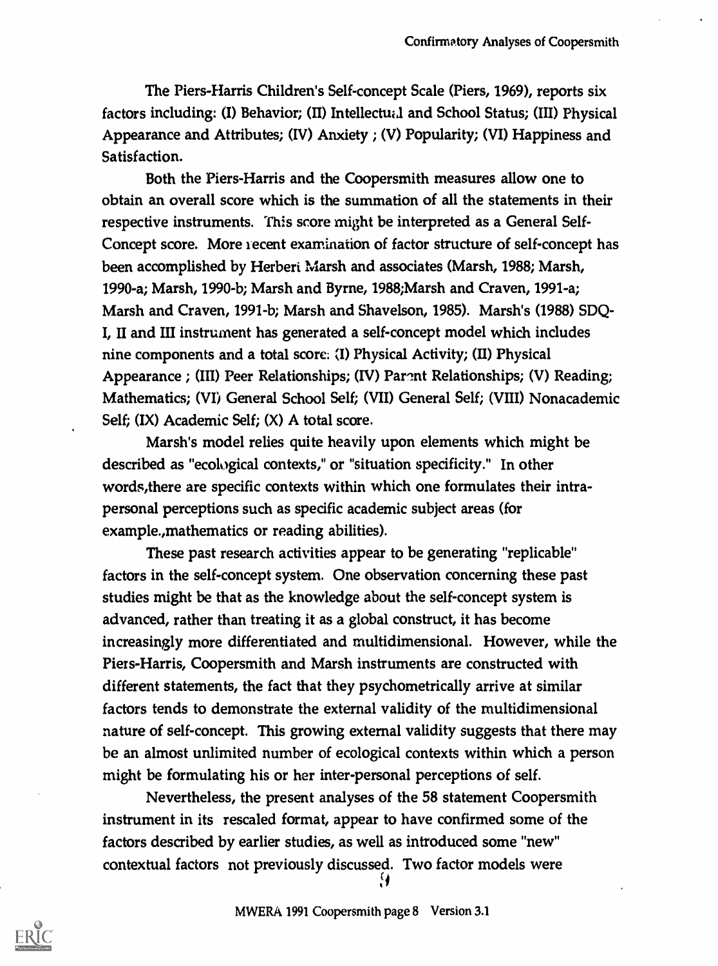The Piers-Harris Children's Self-concept Scale (Piers, 1969), reports six factors including: (I) Behavior; (II) Intellectual and School Status; (III) Physical Appearance and Attributes; (IV) Anxiety ; (V) Popularity; (VI) Happiness and Satisfaction.

Both the Piers-Harris and the Coopersmith measures allow one to obtain an overall score which is the summation of all the statements in their respective instruments. This score might be interpreted as a General Self-Concept score. More recent examination of factor structure of self-concept has been accomplished by Herbert Marsh and associates (Marsh, 1988; Marsh, 1990-a; Marsh, 1990-b; Marsh and Byrne, 1988;Marsh and Craven, 1991-a; Marsh and Craven, 1991-b; Marsh and Shavelson, 1985). Marsh's (1988) SDQ-I, II and III instrument has generated a self-concept model which includes nine components and a total score:  $(I)$  Physical Activity;  $(II)$  Physical Appearance ; (III) Peer Relationships; (IV) Parent Relationships; (V) Reading; Mathematics; (VI) General School Self; (VII) General Self; (VIII) Nonacademic Self; (IX) Academic Self; (X) A total score.

Marsh's model relies quite heavily upon elements which might be described as "ecological contexts," or "situation specificity." In other words,there are specific contexts within which one formulates their intrapersonal perceptions such as specific academic subject areas (for example.,mathematics or reading abilities).

These past research activities appear to be generating "replicable" factors in the self-concept system. One observation concerning these past studies might be that as the knowledge about the self-concept system is advanced, rather than treating it as a global construct, it has become increasingly more differentiated and multidimensional. However, while the Piers-Harris, Coopersmith and Marsh instruments are constructed with different statements, the fact that they psychometrically arrive at similar factors tends to demonstrate the external validity of the multidimensional nature of self-concept. This growing external validity suggests that there may be an almost unlimited number of ecological contexts within which a person might be formulating his or her inter-personal perceptions of self.

Nevertheless, the present analyses of the 58 statement Coopersmith instrument in its rescaled format, appear to have confirmed some of the factors described by earlier studies, as well as introduced some "new" contextual factors not previously discussed. Two factor models were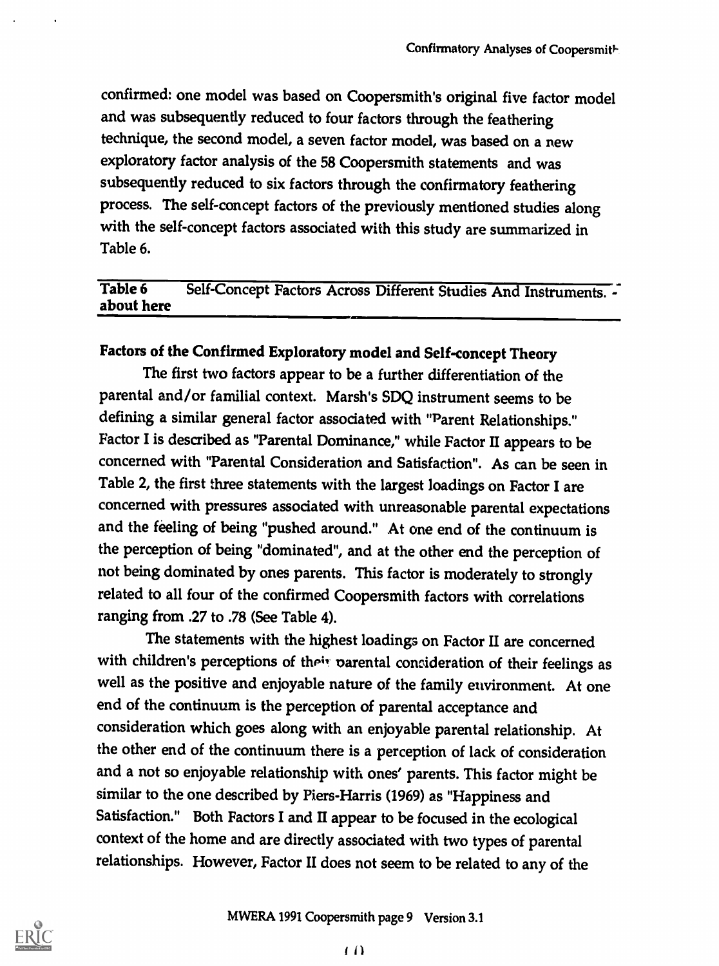confirmed: one model was based on Coopersmith's original five factor model and was subsequently reduced to four factors through the feathering technique, the second model, a seven factor model, was based on a new exploratory factor analysis of the 58 Coopersmith statements and was subsequently reduced to six factors through the confirmatory feathering process. The self-concept factors of the previously mentioned studies along with the self-concept factors associated with this study are summarized in Table 6.

# Table 6 Self-Concept Factors Across Different Studies And Instruments. - about here

# Factors of the Confirmed Exploratory model and Self-concept Theory

The first two factors appear to be a further differentiation of the parental and/or familial context. Marsh's SDQ instrument seems to be defining a similar general factor associated with "Parent Relationships." Factor I is described as "Parental Dominance," while Factor II appears to be concerned with "Parental Consideration and Satisfaction". As can be seen in Table 2, the first three statements with the largest loadings on Factor I are concerned with pressures associated with unreasonable parental expectations and the feeling of being "pushed around." At one end of the continuum is the perception of being "dominated", and at the other end the perception of not being dominated by ones parents. This factor is moderately to strongly related to all four of the confirmed Coopersmith factors with correlations ranging from .27 to .78 (See Table 4).

The statements with the highest loadings on Factor II are concerned with children's perceptions of their parental consideration of their feelings as well as the positive and enjoyable nature of the family environment. At one end of the continuum is the perception of parental acceptance and consideration which goes along with an enjoyable parental relationship. At the other end of the continuum there is a perception of lack of consideration and a not so enjoyable relationship with ones' parents. This factor might be similar to the one described by Piers-Harris (1969) as "Happiness and Satisfaction." Both Factors I and II appear to be focused in the ecological context of the home and are directly associated with two types of parental relationships. However, Factor II does not seem to be related to any of the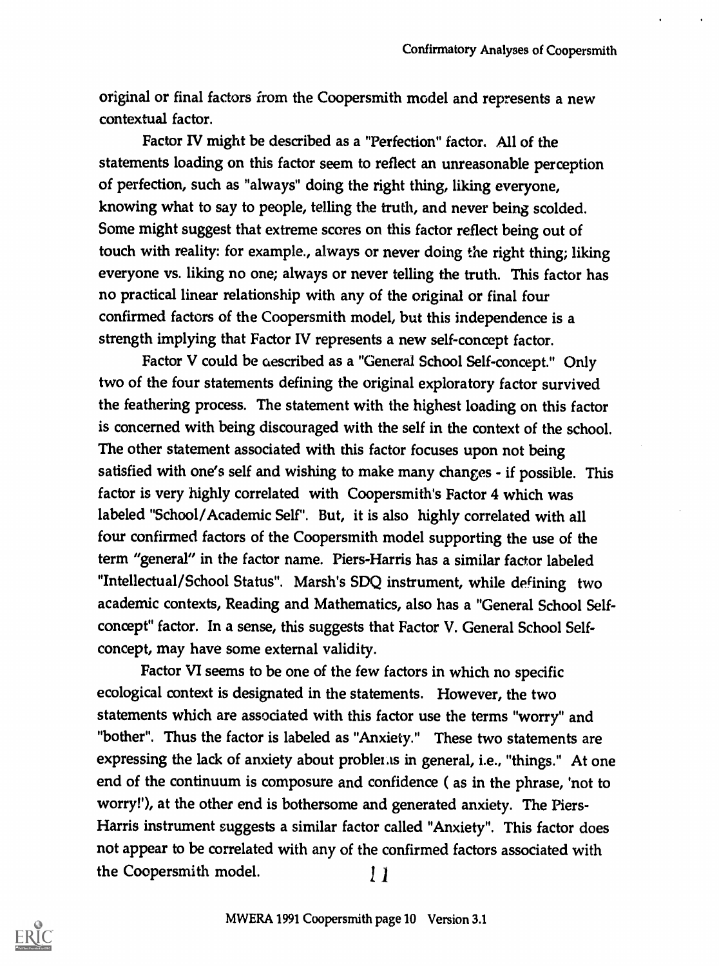original or final factors from the Coopersmith model and represents a new contextual factor.

Factor IV might be described as a "Perfection" factor. All of the statements loading on this factor seem to reflect an unreasonable perception of perfection, such as "always" doing the right thing, liking everyone, knowing what to say to people, telling the truth, and never being scolded. Some might suggest that extreme scores on this factor reflect being out of touch with reality: for example., always or never doing the right thing; liking everyone vs. liking no one; always or never telling the truth. This factor has no practical linear relationship with any of the original or final four confirmed factors of the Coopersmith model, but this independence is a strength implying that Factor IV represents a new self-concept factor.

Factor V could be aescribed as a "General School Self-concept." Only two of the four statements defining the original exploratory factor survived the feathering process. The statement with the highest loading on this factor is concerned with being discouraged with the self in the context of the school. The other statement associated with this factor focuses upon not being satisfied with one's self and wishing to make many changes - if possible. This factor is very highly correlated with Coopersmith's Factor 4 which was labeled "School/Academic Self". But, it is also highly correlated with all four confirmed factors of the Coopersmith model supporting the use of the term "general" in the factor name. Piers-Harris has a similar factor labeled "Intellectual/School Status". Marsh's SDQ instrument, while defining two academic contexts, Reading and Mathematics, also has a "General School Selfconcept" factor. In a sense, this suggests that Factor V. General School Selfconcept, may have some external validity.

Factor VI seems to be one of the few factors in which no specific ecological context is designated in the statements. However, the two statements which are associated with this factor use the terms "worry" and "bother". Thus the factor is labeled as "Anxiety." These two statements are expressing the lack of anxiety about problems in general, i.e., "things." At one end of the continuum is composure and confidence ( as in the phrase, 'not to worry!), at the other end is bothersome and generated anxiety. The Piers-Harris instrument suggests a similar factor called "Anxiety". This factor does not appear to be correlated with any of the confirmed factors associated with the Coopersmith model.  $11$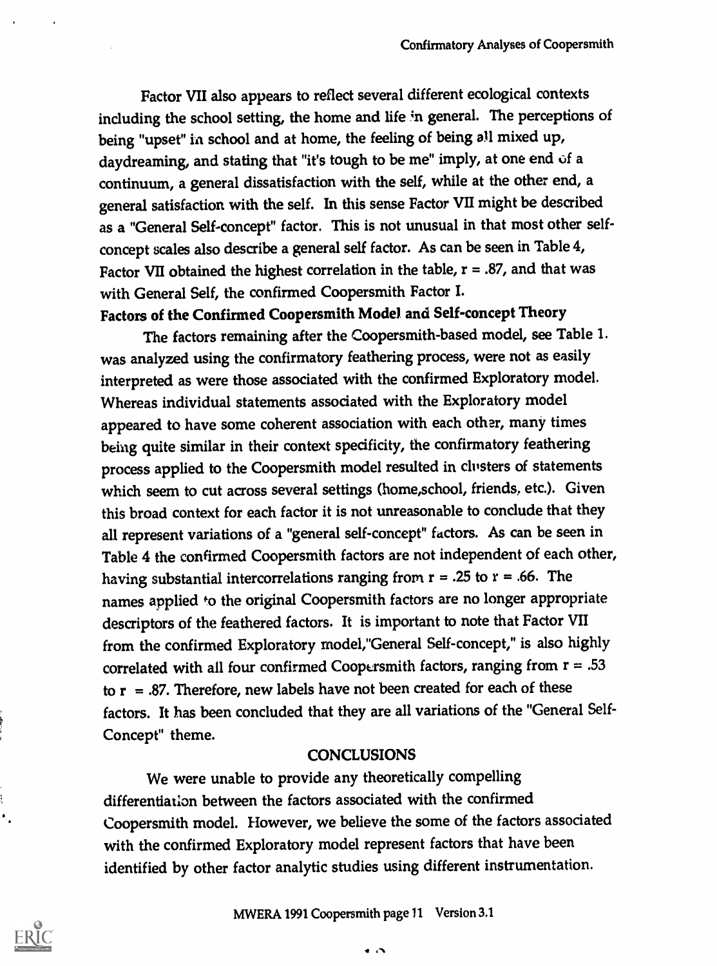Factor VII also appears to reflect several different ecological contexts including the school setting, the home and life in general. The perceptions of being "upset" in school and at home, the feeling of being all mixed up, daydreaming, and stating that "it's tough to be me" imply, at one end of a continuum, a general dissatisfaction with the self, while at the other end, a general satisfaction with the self. In this sense Factor VII might be described as a "General Self-concept" factor. This is not unusual in that most other selfconcept scales also describe a general self factor. As can be seen in Table 4, Factor VII obtained the highest correlation in the table,  $r = .87$ , and that was with General Self, the confirmed Coopersmith Factor I.

# Factors of the Confirmed Coopersmith Model and Self-concept Theory

The factors remaining after the Coopersmith-based model, see Table 1. was analyzed using the confirmatory feathering process, were not as easily interpreted as were those associated with the confirmed Exploratory model. Whereas individual statements associated with the Exploratory model appeared to have some coherent association with each other, many times being quite similar in their context specificity, the confirmatory feathering process applied to the Coopersmith model resulted in clusters of statements which seem to cut across several settings (home,school, friends, etc.). Given this broad context for each factor it is not unreasonable to conclude that they all represent variations of a "general self-concept" factors. As can be seen in Table 4 the confirmed Coopersmith factors are not independent of each other, having substantial intercorrelations ranging from  $r = .25$  to  $r = .66$ . The names applied #0 the original Coopersmith factors are no longer appropriate descriptors of the feathered factors. It is important to note that Factor VII from the confirmed Exploratory model,"General Self-concept," is also highly correlated with all four confirmed Coopersmith factors, ranging from  $r = .53$ to  $r = .87$ . Therefore, new labels have not been created for each of these factors. It has been concluded that they are all variations of the "General Self-Concept" theme.

#### **CONCLUSIONS**

We were unable to provide any theoretically compelling differentiation between the factors associated with the confirmed Coopersmith model. However, we believe the some of the factors associated with the confirmed Exploratory model represent factors that have been identified by other factor analytic studies using different instrumentation.

 $\bullet$   $\bullet$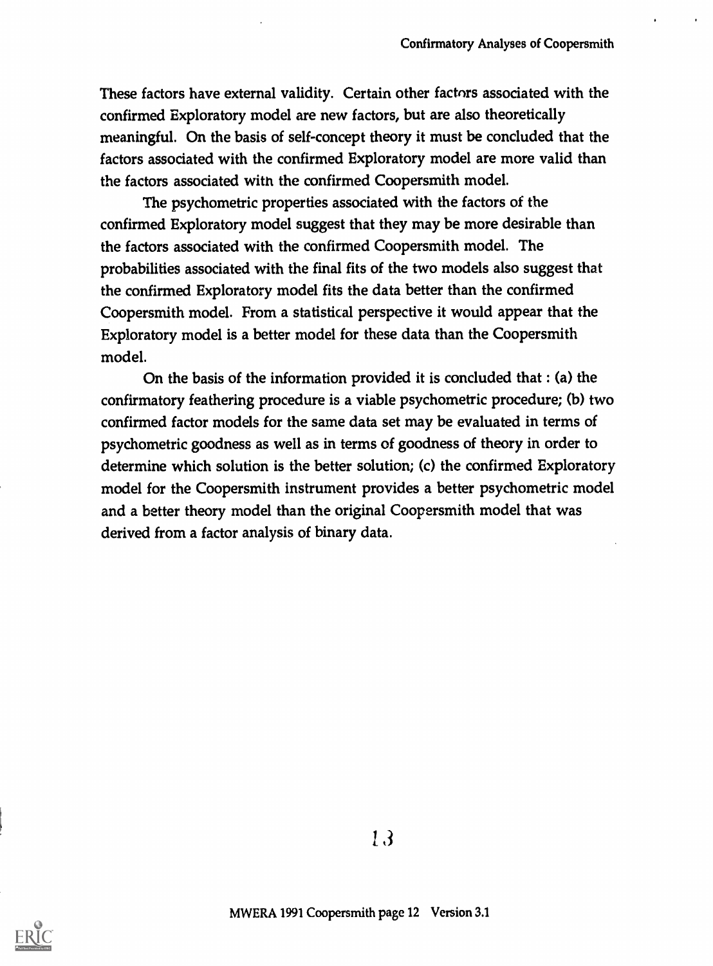These factors have external validity. Certain other factors associated with the confirmed Exploratory model are new factors, but are also theoretically meaningful. On the basis of self-concept theory it must be concluded that the factors assodated with the confirmed Exploratory model are more valid than the factors associated with the confirmed Coopersmith model.

The psychometric properties associated with the factors of the confirmed Exploratory model suggest that they may be more desirable than the factors associated with the confirmed Coopersmith model. The probabilities associated with the final fits of the two models also suggest that the confirmed Exploratory model fits the data better than the confirmed Coopersmith model. From a statistical perspective it would appear that the Exploratory model is a better model for these data than the Coopersmith model.

On the basis of the information provided it is concluded that : (a) the confirmatory feathering procedure is a viable psychometric procedure; (b) two confirmed factor models for the same data set may be evaluated in terms of psychometric goodness as well as in terms of goodness of theory in order to determine which solution is the better solution; (c) the confirmed Exploratory model for the Coopersmith instrument provides a better psychometric model and a better theory model than the original Coopersmith model that was derived from a factor analysis of binary data.



3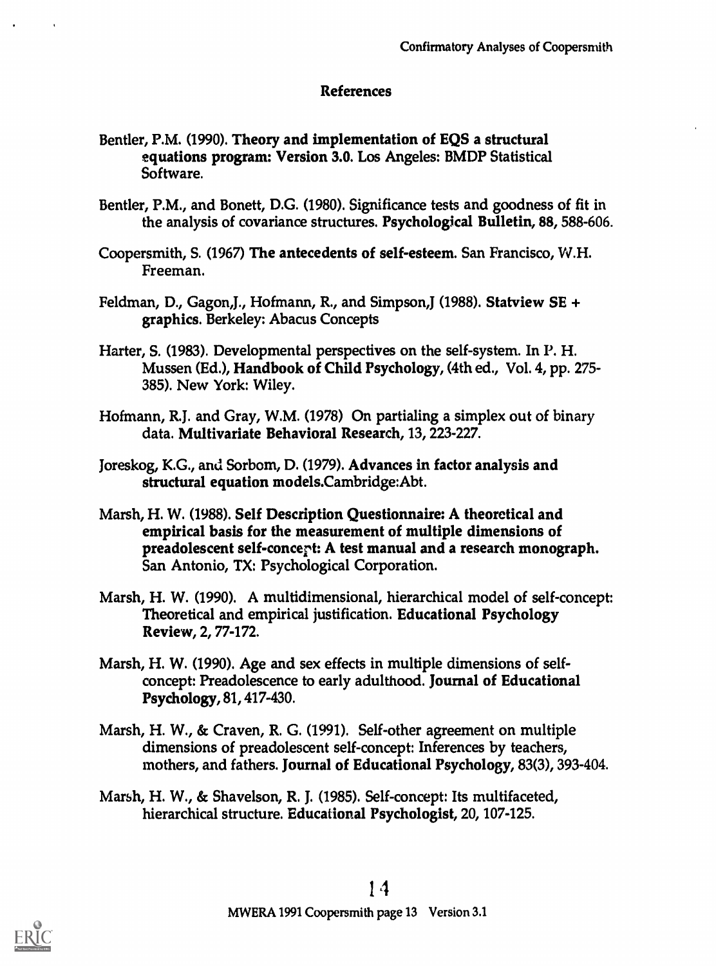#### References

- Bentler, P.M. (1990). Theory and implementation of EQS a structural equations program: Version 3.0. Los Angeles: BMDP Statistical Software.
- Bentler, P.M., and Bonett, D.G. (1980). Significance tests and goodness of fit in the analysis of covariance structures. Psychological Bulletin, 88, 588-606.
- Coopersmith, S. (1967) The antecedents of self-esteem. San Francisco, W.H. Freeman.
- Feldman, D., Gagon,J., Hofmann, R., and Simpson,J (1988). Statview SE + graphics. Berkeley: Abacus Concepts
- Harter, S. (1983). Developmental perspectives on the self-system. In P. H. Mussen (Ed.), Handbook of Child Psychology, (4th ed., Vol. 4, pp. 275- 385). New York: Wiley.
- Hofmann, R.J. and Gray, W.M. (1978) On partialing a simplex out of binary data. Multivariate Behavioral Research, 13, 223-227.
- Joreskog, K.G., and Sorbom, D. (1979). Advances in factor analysis and structural equation models.Cambridge:Abt.
- Marsh, H. W. (1988). Self Description Questionnaire: A theoretical and empirical basis for the measurement of multiple dimensions of preadolescent self-concert: A test manual and a research monograph. San Antonio, TX: Psychological Corporation.
- Marsh, H. W. (1990). A multidimensional, hierarchical model of self-concept: Theoretical and empirical justification. Educational Psychology Review, 2, 77-172.
- Marsh, H. W. (1990). Age and sex effects in multiple dimensions of selfconcept: Preadolescence to early adulthood. Journal of Educational Psychology, 81, 417-430.
- Marsh, H. W., & Craven, R. G. (1991). Self-other agreement on multiple dimensions of preadolescent self-concept: Inferences by teachers, mothers, and fathers. Journal of Educational Psychology, 83(3), 393-404.
- Marsh, H. W., & Shavelson, R. J. (1985). Self-concept: Its multifaceted, hierarchical structure. Educational Psychologist, 20, 107-125.

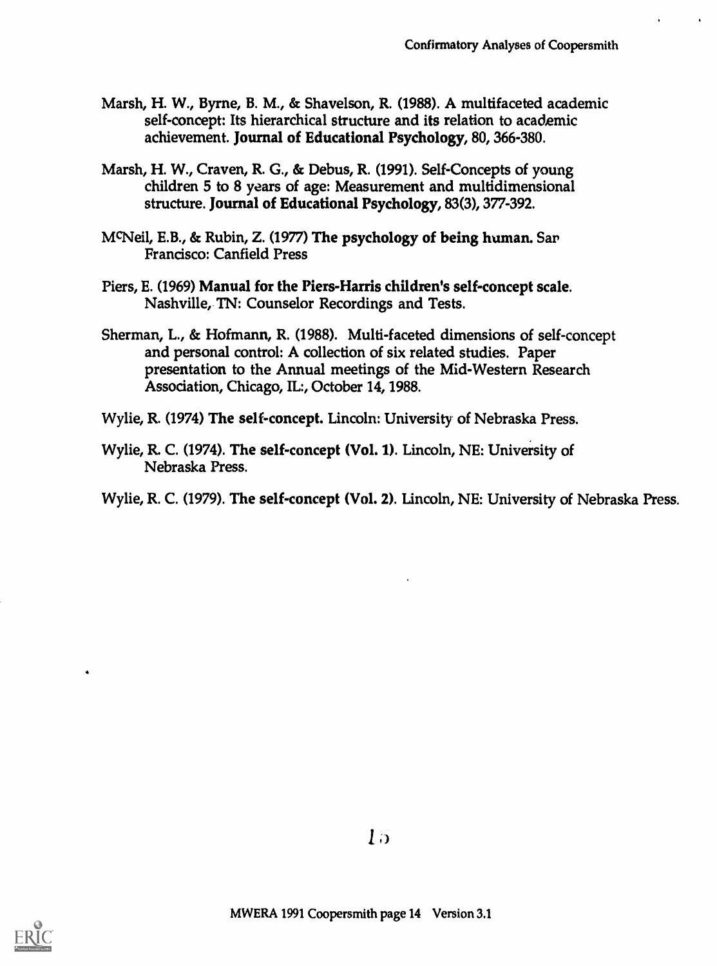- Marsh, H. W., Byrne, B. M., & Shavelson, R. (1988). A multifaceted academic self-concept: Its hierarchical structure and its relation to academic achievement. Journal of Educational Psychology, 80, 366-380.
- Marsh, H. W., Craven, R. G., & Debus, R. (1991). Self-Concepts of young children 5 to 8 years of age: Measurement and multidimensional structure. Journal of Educational Psychology, 83(3), 377-392.
- McNeil, E.B., & Rubin, Z. (1977) The psychology of being human. Sar Francisco: Canfield Press
- Piers, E. (1969) Manual for the Piers-Harris children's self-concept scale. Nashville, TN: Counselor Recordings and Tests.
- Sherman, L., & Hofmann, R. (1988). Multi-faceted dimensions of self-concept and personal control: A collection of six related studies. Paper presentation to the Annual meetings of the Mid-Western Research Association, Chicago, IL:, October 14, 1988.
- Wylie, R. (1974) The self-concept. Lincoln: University of Nebraska Press.
- Wylie, R. C. (1974). The self-concept (Vol. 1). Lincoln, NE: University of Nebraska Press.
- Wylie, R. C. (1979). The self-concept (Vol. 2). Lincoln, NE: University of Nebraska Press.

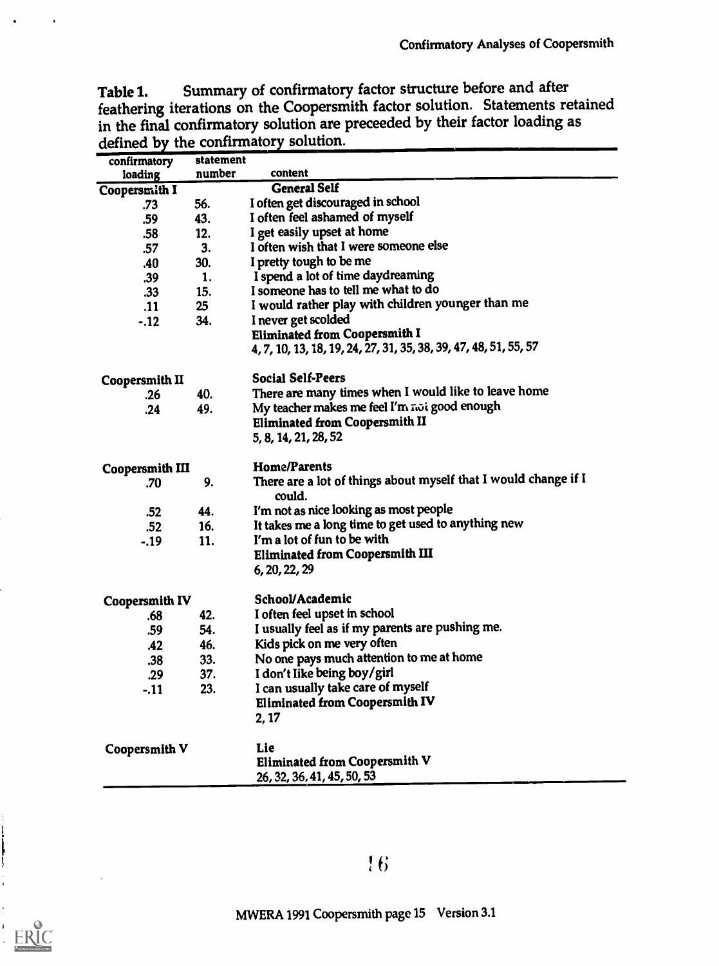Table 1. Summary of confirmatory factor structure before and after feathering iterations on the Coopersmith factor solution. Statements retained in the final confirmatory solution are preceeded by their factor loading as defined by the confirmatory solution.

| confirmatory           | statement       |                                                                           |
|------------------------|-----------------|---------------------------------------------------------------------------|
| loading                | number          | content                                                                   |
| Coopersmith I          |                 | <b>General Self</b>                                                       |
| .73                    | 56.             | I often get discouraged in school                                         |
| .59                    | 43.             | I often feel ashamed of myself                                            |
| .58                    | 12.             | I get easily upset at home                                                |
| .57                    | 3.              | I often wish that I were someone else                                     |
| .40                    | 30.             | I pretty tough to be me                                                   |
| .39                    | 1.              | I spend a lot of time daydreaming                                         |
| .33                    | 15.             | I someone has to tell me what to do                                       |
| .11                    | 25 <sub>2</sub> | I would rather play with children younger than me                         |
| $-.12$                 | 34.             | I never get scolded                                                       |
|                        |                 | Eliminated from Coopersmith I                                             |
|                        |                 | 4, 7, 10, 13, 18, 19, 24, 27, 31, 35, 38, 39, 47, 48, 51, 55, 57          |
|                        |                 |                                                                           |
| <b>Coopersmith II</b>  |                 | <b>Social Self-Peers</b>                                                  |
| .26                    | 40.             | There are many times when I would like to leave home                      |
| .24                    | 49.             | My teacher makes me feel I'm not good enough                              |
|                        |                 | <b>Eliminated from Coopersmith II</b>                                     |
|                        |                 | 5, 8, 14, 21, 28, 52                                                      |
|                        |                 |                                                                           |
| <b>Coopersmith III</b> |                 | <b>Home/Parents</b>                                                       |
| .70                    | 9.              | There are a lot of things about myself that I would change if I<br>could. |
| .52                    | 44.             | I'm not as nice looking as most people                                    |
| .52                    | 16.             | It takes me a long time to get used to anything new                       |
| $-.19$                 | 11.             | I'm a lot of fun to be with                                               |
|                        |                 | Eliminated from Coopersmith III                                           |
|                        |                 | 6, 20, 22, 29                                                             |
|                        |                 | School/Academic                                                           |
| Coopersmith IV<br>.68  | 42.             | I often feel upset in school                                              |
| .59                    | 54.             | I usually feel as if my parents are pushing me.                           |
| .42                    | 46.             | Kids pick on me very often                                                |
|                        | 33.             | No one pays much attention to me at home                                  |
| .38                    | 37.             | I don't like being boy/girl                                               |
| .29                    |                 | I can usually take care of myself                                         |
| $-.11$                 | 23.             | <b>Eliminated from Coopersmith IV</b>                                     |
|                        |                 |                                                                           |
|                        |                 | 2, 17                                                                     |
| Coopersmith V          |                 | Lie                                                                       |
|                        |                 |                                                                           |
|                        |                 |                                                                           |
|                        |                 | Eliminated from Coopersmith V<br>26, 32, 36, 41, 45, 50, 53               |

f;

 $\frac{1}{2}$ 

ERIC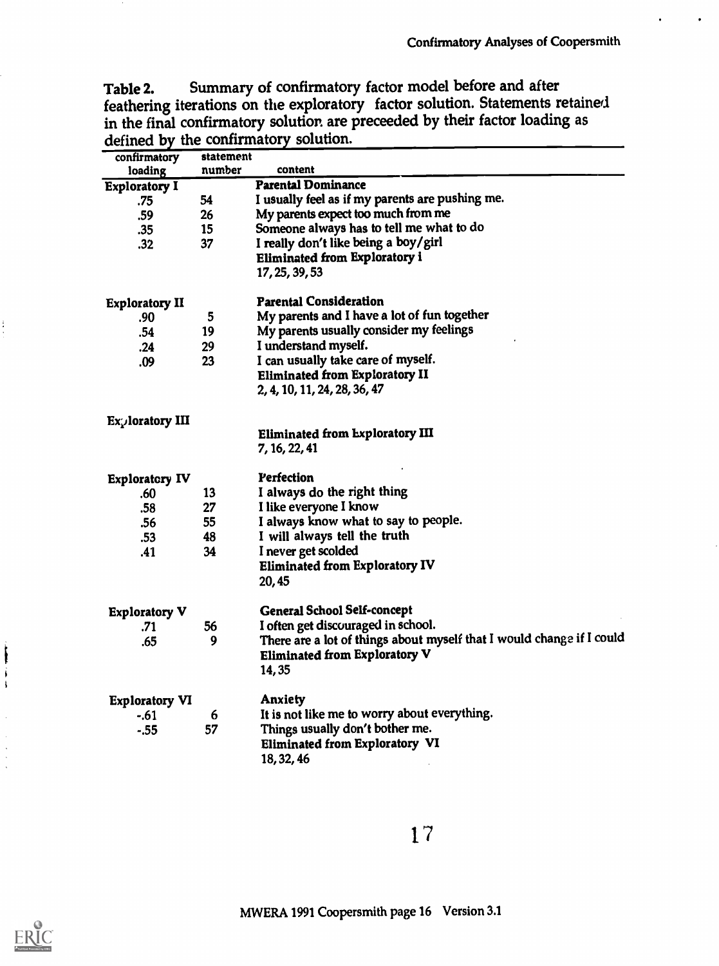Table 2. Summary of confirmatory factor model before and after feathering iterations on the exploratory factor solution. Statements retained in the final confirmatory solution are preceeded by their factor loading as defined by the confirmatory solution.

| confirmatory          | statement |                                                                       |
|-----------------------|-----------|-----------------------------------------------------------------------|
| loading               | number    | content                                                               |
| <b>Exploratory I</b>  |           | <b>Parental Dominance</b>                                             |
| .75                   | 54        | I usually feel as if my parents are pushing me.                       |
| .59                   | 26        | My parents expect too much from me                                    |
| .35                   | 15        | Someone always has to tell me what to do                              |
| .32                   | 37        | I really don't like being a boy/girl                                  |
|                       |           | <b>Eliminated from Exploratory i</b>                                  |
|                       |           | 17, 25, 39, 53                                                        |
| <b>Exploratory II</b> |           | <b>Parental Consideration</b>                                         |
| .90                   | 5         | My parents and I have a lot of fun together                           |
| .54                   | 19        | My parents usually consider my feelings                               |
| .24                   | 29        | I understand myself.                                                  |
| .09                   | 23        | I can usually take care of myself.                                    |
|                       |           | <b>Eliminated from Exploratory II</b>                                 |
|                       |           | 2, 4, 10, 11, 24, 28, 36, 47                                          |
| Exploratory III       |           |                                                                       |
|                       |           | Eliminated from Exploratory III                                       |
|                       |           | 7, 16, 22, 41                                                         |
| <b>Exploratory IV</b> |           | Perfection                                                            |
| .60                   | 13        | I always do the right thing                                           |
| .58                   | 27        | I like everyone I know                                                |
| .56                   | 55        | I always know what to say to people.                                  |
| .53                   | 48        | I will always tell the truth                                          |
| .41                   | 34        | I never get scolded                                                   |
|                       |           | <b>Eliminated from Exploratory IV</b>                                 |
|                       |           | 20,45                                                                 |
| <b>Exploratory V</b>  |           | <b>General School Self-concept</b>                                    |
| .71                   | 56        | I often get discouraged in school.                                    |
| .65                   | 9         | There are a lot of things about myself that I would change if I could |
|                       |           | Eliminated from Exploratory V                                         |
|                       |           | 14,35                                                                 |
| <b>Exploratory VI</b> |           | <b>Anxiety</b>                                                        |
| $-.61$                | 6         | It is not like me to worry about everything.                          |
| $-.55$                | 57        | Things usually don't bother me.                                       |
|                       |           | Eliminated from Exploratory VI                                        |
|                       |           | 18, 32, 46                                                            |

1 7

 $\ddot{\cdot}$ 

 $\mathbf{\mathbf{i}}$ 

 $\begin{array}{c} \begin{array}{c} \begin{array}{c} \end{array} \\ \begin{array}{c} \end{array} \end{array} \end{array}$ 

 $\bar{z}$ 

 $\hat{\boldsymbol{\beta}}$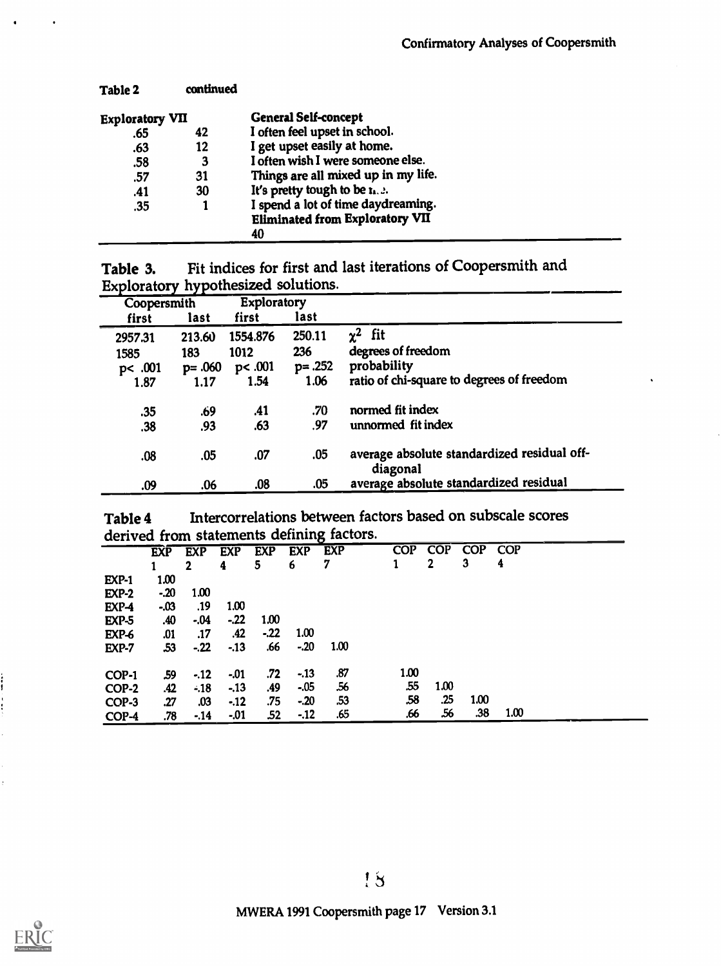| Table 2                | continued |                                        |  |
|------------------------|-----------|----------------------------------------|--|
| <b>Exploratory VII</b> |           | <b>General Self-concept</b>            |  |
| .65                    | 42        | I often feel upset in school.          |  |
| .63                    | 12        | I get upset easily at home.            |  |
| .58                    | 3         | I often wish I were someone else.      |  |
| .57                    | 31        | Things are all mixed up in my life.    |  |
| .41                    | 30        | It's pretty tough to be $\mathbf{r}$ . |  |
| .35                    |           | I spend a lot of time daydreaming.     |  |
|                        |           | <b>Eliminated from Exploratory VII</b> |  |
|                        |           | 40                                     |  |

| Table 3. | Fit indices for first and last iterations of Coopersmith and |
|----------|--------------------------------------------------------------|
|          | Exploratory hypothesized solutions.                          |

| Coopersmith |            | Exploratory |            |                                                         |
|-------------|------------|-------------|------------|---------------------------------------------------------|
| first       | last       | first       | last       |                                                         |
| 2957.31     | 213.60     | 1554.876    | 250.11     | $\chi^2$<br>fit                                         |
| 1585        | 183        | 1012        | 236        | degrees of freedom                                      |
| pc.001      | $p = .060$ | pc.001      | $p = .252$ | probability                                             |
| 1.87        | 1.17       | 1.54        | 1.06       | ratio of chi-square to degrees of freedom               |
| .35         | .69        | .41         | .70        | normed fit index                                        |
| .38         | .93        | .63         | .97        | unnormed fit index                                      |
| .08         | .05        | .07         | .05        | average absolute standardized residual off-<br>diagonal |
| .09         | .06        | .08         | .05        | average absolute standardized residual                  |

| Table 4 | Intercorrelations between factors based on subscale scores |
|---------|------------------------------------------------------------|
|         | derived from statements defining factors.                  |

 $\ddot{\ddot{\phantom{0}}}\,$ 

 $\frac{1}{2}$ 

ERIC

| <b>UCITACA ILAMI</b><br>־ס<br>$-$ |            |              |            |            |            |            |            |      |            |            |  |
|-----------------------------------|------------|--------------|------------|------------|------------|------------|------------|------|------------|------------|--|
|                                   | <b>EXP</b> | <b>EXP</b>   | <b>EXP</b> | <b>EXP</b> | <b>EXP</b> | <b>EXP</b> | <b>COP</b> | COP  | <b>COP</b> | <b>COP</b> |  |
|                                   |            | $\mathbf{2}$ | 4          | 5          | 6          | 7          |            | 2    | 3          | 4          |  |
| <b>EXP-1</b>                      | 1.00       |              |            |            |            |            |            |      |            |            |  |
| $EXP-2$                           | $-20$      | 1.00         |            |            |            |            |            |      |            |            |  |
| EXP-4                             | $-.03$     | .19          | 1.00       |            |            |            |            |      |            |            |  |
| <b>EXP-5</b>                      | .40        | $-.04$       | $-.22$     | 1.00       |            |            |            |      |            |            |  |
| EXP-6                             | .01        | .17          | .42        | $-22$      | 1.00       |            |            |      |            |            |  |
| EXP-7                             | .53        | $-22$        | $-13$      | .66        | $-.20$     | 1.00       |            |      |            |            |  |
|                                   |            |              |            |            |            |            |            |      |            |            |  |
| COP-1                             | .59        | $-.12$       | $-01$      | .72        | $-.13$     | .87        | 1.00       |      |            |            |  |
| COP-2                             | .42        | $-18$        | $-13$      | .49        | $-.05$     | .56        | .55        | 1.00 |            |            |  |
| COP-3                             | .27        | .03          | $-12$      | .75        | $-20$      | .53        | .58        | .25  | 1.00       |            |  |
| COP-4                             | .78        | $-14$        | $-.01$     | .52        | $-.12$     | .65        | .66        | .56  | .38        | 1.00       |  |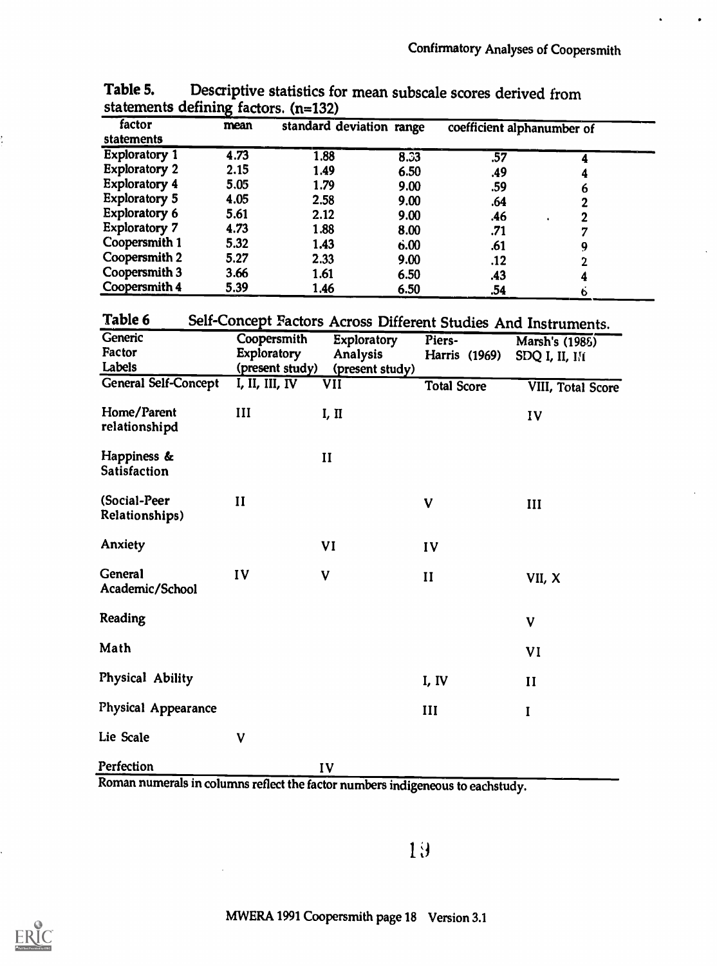| factor                         | mean                                                       | standard deviation range |                 |                    | coefficient alphanumber of                                     |
|--------------------------------|------------------------------------------------------------|--------------------------|-----------------|--------------------|----------------------------------------------------------------|
| statements                     |                                                            |                          |                 |                    |                                                                |
| <b>Exploratory 1</b>           | 4.73                                                       | 1.88                     | 8.33            | .57                | 4                                                              |
| <b>Exploratory 2</b>           | 2.15                                                       | 1.49                     | 6.50            | .49                | 4                                                              |
| <b>Exploratory 4</b>           | 5.05                                                       | 1.79                     | 9.00            | .59                | 6                                                              |
| <b>Exploratory 5</b>           | 4.05                                                       | 2.58                     | 9.00            | .64                | 2                                                              |
| <b>Exploratory 6</b>           | 5.61                                                       | 2.12                     | 9.00            | .46                | $\overline{\mathbf{2}}$                                        |
| <b>Exploratory 7</b>           | 4.73                                                       | 1.88                     | 8.00            | .71                | 7                                                              |
| Coopersmith 1                  | 5.32                                                       | 1.43                     | 6.00            | .61                | 9                                                              |
| Coopersmith 2                  | 5.27                                                       | 2.33                     | 9.00            | .12                | $\mathbf 2$                                                    |
| Coopersmith 3                  | 3.66                                                       | 1.61                     | 6.50            | .43                | 4                                                              |
| Coopersmith 4                  | 5.39                                                       | 1.46                     | 6.50            | .54                | $\ddot{\mathbf{6}}$                                            |
| Table 6<br>Generic             |                                                            |                          |                 |                    | Self-Concept Factors Across Different Studies And Instruments. |
| Factor                         | Coopersmith                                                | <b>Exploratory</b>       |                 | Piers-             | Marsh's (1985)                                                 |
| Labels                         | Exploratory                                                | Analysis                 |                 | Harris (1969)      | SDQ I, II, III                                                 |
|                                | (present study)                                            |                          | (present study) |                    |                                                                |
| <b>General Self-Concept</b>    | $\overline{I}$ , $\overline{II}$ , $\overline{III}$ , $IV$ | VII                      |                 | <b>Total Score</b> | VIII, Total Score                                              |
| Home/Parent                    | III                                                        | I, II                    |                 |                    | IV                                                             |
| relationshipd                  |                                                            |                          |                 |                    |                                                                |
| Happiness &<br>Satisfaction    |                                                            | $\mathbf{II}$            |                 |                    |                                                                |
| (Social-Peer<br>Relationships) | $\mathbf{I}$                                               |                          | V               |                    | III                                                            |
| Anxiety                        |                                                            | VI                       | IV              |                    |                                                                |
| General<br>Academic/School     | IV                                                         | V                        | $\mathbf{I}$    |                    | VII, X                                                         |
| Reading                        |                                                            |                          |                 |                    | V                                                              |
| Math                           |                                                            |                          |                 |                    | VI                                                             |
| Physical Ability               |                                                            |                          | I, IV           |                    | $\mathbf{I}$                                                   |
| Physical Appearance            |                                                            |                          | III             |                    | I                                                              |
| Lie Scale                      | $\mathbf V$                                                |                          |                 |                    |                                                                |
| Perfection                     |                                                            | IV                       |                 |                    |                                                                |

Table 5. Descriptive statistics for mean subscale scores derived from statements defining factors. (n=132)

Roman numerals in columns reflect the factor numbers indigeneous to eachstudy.

19



ţ.